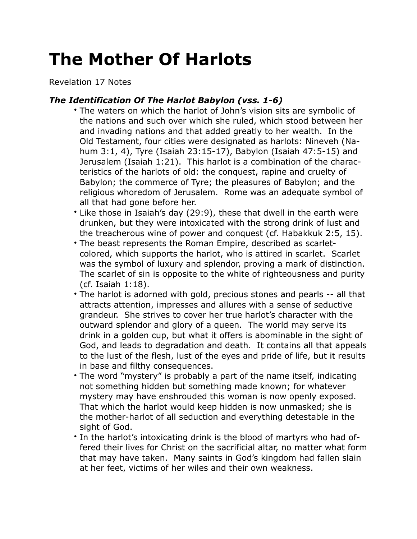## **The Mother Of Harlots**

Revelation 17 Notes

## *The Identification Of The Harlot Babylon (vss. 1-6)*

- The waters on which the harlot of John's vision sits are symbolic of the nations and such over which she ruled, which stood between her and invading nations and that added greatly to her wealth. In the Old Testament, four cities were designated as harlots: Nineveh (Nahum 3:1, 4), Tyre (Isaiah 23:15-17), Babylon (Isaiah 47:5-15) and Jerusalem (Isaiah 1:21). This harlot is a combination of the characteristics of the harlots of old: the conquest, rapine and cruelty of Babylon; the commerce of Tyre; the pleasures of Babylon; and the religious whoredom of Jerusalem. Rome was an adequate symbol of all that had gone before her.
- Like those in Isaiah's day (29:9), these that dwell in the earth were drunken, but they were intoxicated with the strong drink of lust and the treacherous wine of power and conquest (cf. Habakkuk 2:5, 15).
- The beast represents the Roman Empire, described as scarletcolored, which supports the harlot, who is attired in scarlet. Scarlet was the symbol of luxury and splendor, proving a mark of distinction. The scarlet of sin is opposite to the white of righteousness and purity (cf. Isaiah 1:18).
- The harlot is adorned with gold, precious stones and pearls -- all that attracts attention, impresses and allures with a sense of seductive grandeur. She strives to cover her true harlot's character with the outward splendor and glory of a queen. The world may serve its drink in a golden cup, but what it offers is abominable in the sight of God, and leads to degradation and death. It contains all that appeals to the lust of the flesh, lust of the eyes and pride of life, but it results in base and filthy consequences.
- The word "mystery" is probably a part of the name itself, indicating not something hidden but something made known; for whatever mystery may have enshrouded this woman is now openly exposed. That which the harlot would keep hidden is now unmasked; she is the mother-harlot of all seduction and everything detestable in the sight of God.
- In the harlot's intoxicating drink is the blood of martyrs who had offered their lives for Christ on the sacrificial altar, no matter what form that may have taken. Many saints in God's kingdom had fallen slain at her feet, victims of her wiles and their own weakness.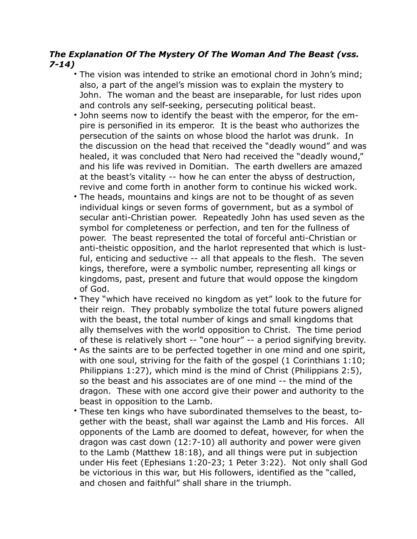## *The Explanation Of The Mystery Of The Woman And The Beast (vss. 7-14)*

- The vision was intended to strike an emotional chord in John's mind; also, a part of the angel's mission was to explain the mystery to John. The woman and the beast are inseparable, for lust rides upon and controls any self-seeking, persecuting political beast.
- John seems now to identify the beast with the emperor, for the empire is personified in its emperor. It is the beast who authorizes the persecution of the saints on whose blood the harlot was drunk. In the discussion on the head that received the "deadly wound" and was healed, it was concluded that Nero had received the "deadly wound," and his life was revived in Domitian. The earth dwellers are amazed at the beast's vitality -- how he can enter the abyss of destruction, revive and come forth in another form to continue his wicked work.
- The heads, mountains and kings are not to be thought of as seven individual kings or seven forms of government, but as a symbol of secular anti-Christian power. Repeatedly John has used seven as the symbol for completeness or perfection, and ten for the fullness of power. The beast represented the total of forceful anti-Christian or anti-theistic opposition, and the harlot represented that which is lustful, enticing and seductive -- all that appeals to the flesh. The seven kings, therefore, were a symbolic number, representing all kings or kingdoms, past, present and future that would oppose the kingdom of God.
- They "which have received no kingdom as yet" look to the future for their reign. They probably symbolize the total future powers aligned with the beast, the total number of kings and small kingdoms that ally themselves with the world opposition to Christ. The time period of these is relatively short -- "one hour" -- a period signifying brevity.
- As the saints are to be perfected together in one mind and one spirit, with one soul, striving for the faith of the gospel (1 Corinthians 1:10; Philippians 1:27), which mind is the mind of Christ (Philippians 2:5), so the beast and his associates are of one mind -- the mind of the dragon. These with one accord give their power and authority to the beast in opposition to the Lamb.
- These ten kings who have subordinated themselves to the beast, together with the beast, shall war against the Lamb and His forces. All opponents of the Lamb are doomed to defeat, however, for when the dragon was cast down (12:7-10) all authority and power were given to the Lamb (Matthew 18:18), and all things were put in subjection under His feet (Ephesians 1:20-23; 1 Peter 3:22). Not only shall God be victorious in this war, but His followers, identified as the "called, and chosen and faithful" shall share in the triumph.